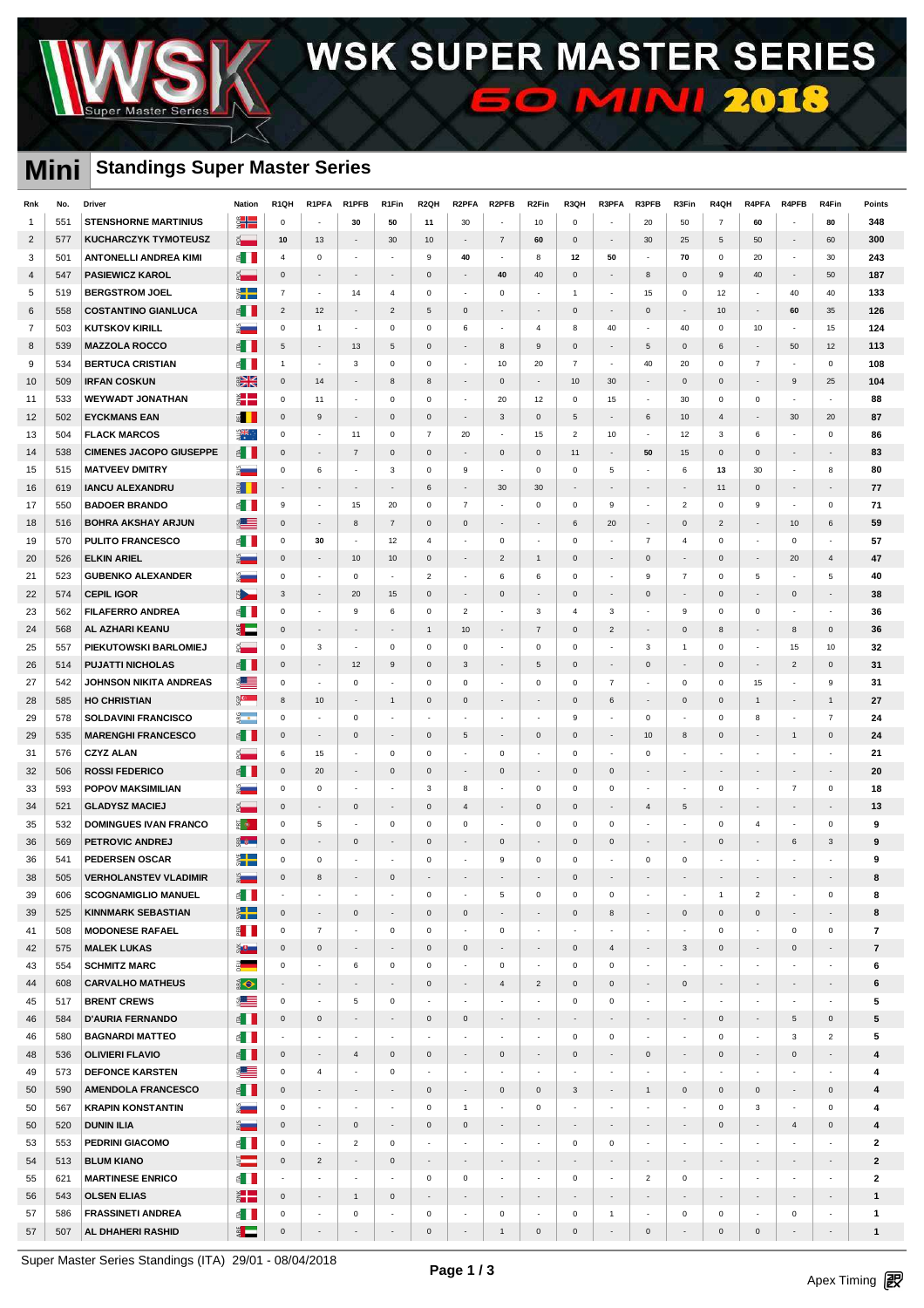

### **Mini Standings Super Master Series**

| Rnk            | No. | Driver                         | <b>Nation</b>                   | R <sub>1</sub> QH        | R1PFA                    | R1PFB                    | R1Fin                    | R <sub>2QH</sub>         | R2PFA                    | R <sub>2</sub> PFB       | R <sub>2</sub> Fin          | R3QH                     | R3PFA                    | R3PFB                    | R3Fin                    | R4QH                     | R4PFA                    | R4PFB                       | R4Fin                    | Points                   |
|----------------|-----|--------------------------------|---------------------------------|--------------------------|--------------------------|--------------------------|--------------------------|--------------------------|--------------------------|--------------------------|-----------------------------|--------------------------|--------------------------|--------------------------|--------------------------|--------------------------|--------------------------|-----------------------------|--------------------------|--------------------------|
| $\overline{1}$ | 551 | <b>STENSHORNE MARTINIUS</b>    | $\frac{1}{2}$                   | $\mathsf 0$              |                          | 30                       | 50                       | 11                       | 30                       | $\overline{a}$           | 10                          | $\mathsf 0$              | $\overline{a}$           | 20                       | 50                       | $\overline{7}$           | 60                       |                             | 80                       | 348                      |
| $\overline{2}$ | 577 | <b>KUCHARCZYK TYMOTEUSZ</b>    | $\frac{1}{2}$                   | 10                       | 13                       | $\overline{\phantom{a}}$ | 30                       | 10                       |                          | $\overline{7}$           | 60                          | $\mathsf{O}\xspace$      | $\overline{\phantom{a}}$ | 30                       | 25                       | 5                        | 50                       |                             | 60                       | 300                      |
| 3              | 501 | <b>ANTONELLI ANDREA KIMI</b>   | ⋹∎∎                             | $\overline{4}$           | $\mathsf 0$              | $\overline{\phantom{a}}$ | $\overline{\phantom{a}}$ | 9                        | 40                       | $\overline{\phantom{a}}$ | 8                           | 12                       | 50                       | $\overline{\phantom{a}}$ | 70                       | $\mathsf 0$              | 20                       | $\overline{\phantom{a}}$    | 30                       | 243                      |
| $\overline{4}$ | 547 | <b>PASIEWICZ KAROL</b>         | $\frac{1}{2}$                   | $\mathsf 0$              | $\overline{\phantom{a}}$ | $\overline{\phantom{a}}$ | $\overline{\phantom{a}}$ | $\mathbf 0$              | $\overline{\phantom{a}}$ | 40                       | 40                          | $\mathbf 0$              | $\overline{\phantom{a}}$ | 8                        | $\mathsf 0$              | $\boldsymbol{9}$         | 40                       | $\blacksquare$              | 50                       | 187                      |
| 5              | 519 | <b>BERGSTROM JOEL</b>          | $\frac{1}{2}$                   | $\overline{7}$           | $\overline{\phantom{a}}$ | 14                       | $\overline{4}$           | $\mathbf 0$              | ÷,                       | $\mathbf 0$              | ÷.                          | $\mathbf{1}$             | $\blacksquare$           | 15                       | $\mathsf{O}\xspace$      | 12                       | $\overline{\phantom{a}}$ | 40                          | 40                       | 133                      |
| 6              | 558 | <b>COSTANTINO GIANLUCA</b>     | $\leq$                          | $\overline{2}$           | 12                       | $\overline{\phantom{a}}$ | $\overline{c}$           | 5                        | $\pmb{0}$                | $\overline{\phantom{a}}$ | $\overline{\phantom{a}}$    | $\mathsf{O}\xspace$      | $\overline{\phantom{a}}$ | $\mathbf{0}$             | $\overline{\phantom{a}}$ | 10                       | $\overline{\phantom{a}}$ | 60                          | 35                       | 126                      |
| $\overline{7}$ | 503 | <b>KUTSKOV KIRILL</b>          | $\frac{1}{2}$                   | $\mathbf 0$              | $\mathbf{1}$             | $\overline{\phantom{a}}$ | $\mathbf 0$              | $\mathbf 0$              | 6                        | $\overline{\phantom{a}}$ | $\overline{4}$              | 8                        | 40                       | $\sim$                   | 40                       | $\mathbf 0$              | 10                       | $\sim$                      | 15                       | 124                      |
| 8              | 539 | <b>MAZZOLA ROCCO</b>           | $\leq$ $\blacksquare$           | 5                        |                          | 13                       | 5                        | $\mathbf 0$              |                          | 8                        | 9                           | $\mathsf{O}\xspace$      | $\overline{\phantom{a}}$ | 5                        | $\mathbf 0$              | 6                        | $\frac{1}{2}$            | 50                          | 12                       | 113                      |
| 9              | 534 | <b>BERTUCA CRISTIAN</b>        | € ∐                             | $\mathbf{1}$             | $\overline{\phantom{a}}$ | 3                        | 0                        | $\mathbf 0$              | $\overline{\phantom{a}}$ | 10                       | 20                          | $\overline{7}$           | $\overline{\phantom{a}}$ | 40                       | 20                       | $\mathsf 0$              | $\overline{7}$           | $\overline{\phantom{a}}$    | $\mathsf 0$              | 108                      |
| 10             | 509 | <b>IRFAN COSKUN</b>            | $\frac{1}{\sqrt{2}}$            | $\mathsf{O}\xspace$      | 14                       | $\overline{\phantom{a}}$ | 8                        | 8                        |                          | $\mathbf 0$              | $\overline{\phantom{a}}$    | 10                       | 30                       | $\overline{\phantom{a}}$ | $\mathbf{0}$             | $\Omega$                 | $\overline{\phantom{a}}$ | 9                           | 25                       | 104                      |
| 11             | 533 | <b>WEYWADT JONATHAN</b>        | ž.                              | $\mathsf 0$              | 11                       | ÷,                       | $\mathsf 0$              | $\mathsf 0$              | $\overline{\phantom{a}}$ | 20                       | 12                          | $\mathsf 0$              | 15                       | $\sim$                   | 30                       | $\mathbf 0$              | $\mathsf 0$              | $\overline{a}$              | $\overline{\phantom{a}}$ | 88                       |
| 12             | 502 | <b>EYCKMANS EAN</b>            | ăП                              | $\mathsf{O}\xspace$      | 9                        | $\overline{\phantom{a}}$ | $\mathbf 0$              | $\mathsf 0$              | $\overline{\phantom{a}}$ | 3                        | $\mathsf{O}\xspace$         | $\overline{5}$           | $\overline{\phantom{a}}$ | 6                        | 10                       | $\overline{4}$           | $\overline{\phantom{a}}$ | 30                          | 20                       | 87                       |
| 13             | 504 | <b>FLACK MARCOS</b>            | 深长                              | $\mathsf 0$              | $\overline{\phantom{a}}$ | 11                       | 0                        | $\overline{7}$           | 20                       | $\overline{\phantom{a}}$ | 15                          | $\overline{2}$           | 10                       | $\overline{\phantom{a}}$ | 12                       | $\mathbf{3}$             | 6                        | $\overline{\phantom{a}}$    | 0                        | 86                       |
| 14             | 538 | <b>CIMENES JACOPO GIUSEPPE</b> | € II                            | $\mathsf 0$              | $\overline{\phantom{a}}$ | $\overline{7}$           | $\mathsf{O}\xspace$      | $\mathsf 0$              | $\overline{\phantom{a}}$ | $\mathbf 0$              | $\mathsf{O}\xspace$         | 11                       | $\overline{\phantom{a}}$ | 50                       | 15                       | $\mathsf 0$              | $\mathbf 0$              | $\sim$                      | $\sim$                   | 83                       |
| 15             | 515 | <b>MATVEEV DMITRY</b>          | Ž.                              | $\mathsf 0$              | $\,6\,$                  | ÷                        | 3                        | $\mathbf 0$              | 9                        | $\overline{\phantom{a}}$ | $\mathsf 0$                 | $\mathsf 0$              | $\,$ 5 $\,$              | $\overline{\phantom{a}}$ | 6                        | 13                       | 30                       | $\sim$                      | 8                        | 80                       |
| 16             | 619 | <b>IANCU ALEXANDRU</b>         | þП                              | $\blacksquare$           | $\overline{\phantom{a}}$ | $\overline{\phantom{a}}$ | $\overline{\phantom{a}}$ | 6                        | $\overline{\phantom{a}}$ | 30                       | 30                          | $\overline{\phantom{a}}$ | $\overline{\phantom{a}}$ | $\overline{\phantom{a}}$ | $\overline{\phantom{a}}$ | 11                       | $\mathbf 0$              | н.                          | $\overline{\phantom{a}}$ | 77                       |
| 17             | 550 | <b>BADOER BRANDO</b>           | ≦ ∏                             | 9                        | $\overline{\phantom{a}}$ | 15                       | 20                       | $\mathsf 0$              | $\overline{7}$           | L.                       | $\mathsf{O}\xspace$         | $\mathsf 0$              | 9                        | $\sim$                   | $\overline{2}$           | $\mathbf 0$              | $\mathsf g$              | $\sim$                      | $\mathbf 0$              | 71                       |
| 18             | 516 | <b>BOHRA AKSHAY ARJUN</b>      | 8 <b> Septe</b>                 | $\mathsf 0$              | $\overline{\phantom{a}}$ | 8                        | $\overline{7}$           | $\mathbf 0$              | $\mathbf 0$              | ÷.                       | $\overline{\phantom{a}}$    | 6                        | 20                       | $\overline{a}$           | $\mathbf 0$              | $\overline{2}$           | $\overline{\phantom{a}}$ | 10                          | 6                        | 59                       |
| 19             | 570 | <b>PULITO FRANCESCO</b>        | € ∐                             | $\mathsf 0$              | 30                       | $\overline{\phantom{a}}$ | 12                       | $\overline{4}$           | $\overline{\phantom{a}}$ | $\mathsf 0$              | $\overline{\phantom{a}}$    | $\mathsf 0$              | $\overline{\phantom{a}}$ | $\overline{7}$           | 4                        | $\mathsf 0$              | $\overline{\phantom{a}}$ | 0                           | $\overline{\phantom{a}}$ | 57                       |
| 20             | 526 | <b>ELKIN ARIEL</b>             | ž.                              | $\mathsf 0$              | $\sim$                   | 10                       | 10                       | $\mathbf 0$              |                          | $\overline{2}$           | $\mathbf{1}$                | $\mathsf{O}\xspace$      | $\overline{\phantom{a}}$ | $\mathbf{0}$             | $\overline{\phantom{a}}$ | $\Omega$                 | $\overline{\phantom{a}}$ | 20                          | $\overline{4}$           | 47                       |
| 21             | 523 | <b>GUBENKO ALEXANDER</b>       | $\frac{3}{2}$                   | $\mathsf 0$              | $\overline{\phantom{a}}$ | $\mathsf 0$              | ÷,                       | $\overline{2}$           | $\overline{\phantom{a}}$ | 6                        | 6                           | $\mathsf 0$              | $\sim$                   | 9                        | $\overline{7}$           | $\mathsf 0$              | 5                        |                             | 5                        | 40                       |
| 22             | 574 | <b>CEPIL IGOR</b>              | $\blacktriangleright$           | $\mathbf{3}$             | $\sim$                   | 20                       | 15                       | $\mathbf{0}$             | $\overline{\phantom{a}}$ | $\mathbf{0}$             | $\overline{\phantom{a}}$    | $\mathsf{O}\xspace$      | $\overline{\phantom{a}}$ | $\mathbf{0}$             | $\overline{\phantom{a}}$ | $\Omega$                 | ÷,                       | $\mathbf{0}$                | $\blacksquare$           | 38                       |
| 23             | 562 | <b>FILAFERRO ANDREA</b>        | ⋹П                              | $\mathsf 0$              | $\overline{\phantom{a}}$ | 9                        | 6                        | $\mathbf 0$              | $\overline{2}$           | $\overline{\phantom{a}}$ | 3                           | $\overline{4}$           | 3                        | $\overline{\phantom{a}}$ | 9                        | $\mathsf 0$              | $\mathbf 0$              | $\overline{\phantom{a}}$    | $\sim$                   | 36                       |
| 24             | 568 | AL AZHARI KEANU                | E L                             | $\mathbf{0}$             | $\sim$                   | $\overline{\phantom{a}}$ | $\overline{\phantom{a}}$ | $\mathbf{1}$             | 10                       | $\overline{\phantom{a}}$ | $\overline{7}$              | $\mathsf 0$              | $\overline{2}$           | $\overline{\phantom{a}}$ | $\mathbf 0$              | 8                        | $\overline{\phantom{a}}$ | 8                           | $\mathsf{O}\xspace$      | 36                       |
| 25             | 557 | PIEKUTOWSKI BARLOMIEJ          | ø.                              | $\mathsf 0$              | 3                        | $\overline{\phantom{a}}$ | $\mathsf 0$              | $\mathbf 0$              | $\mathbf 0$              | $\overline{\phantom{a}}$ | $\mathsf 0$                 | $\mathsf 0$              | $\sim$                   | $\mathbf{3}$             | $\mathbf{1}$             | $\mathbf 0$              | $\overline{\phantom{a}}$ | 15                          | 10                       | 32                       |
| 26             | 514 | <b>PUJATTI NICHOLAS</b>        | $\leq$                          | $\mathsf{O}\xspace$      | $\overline{\phantom{a}}$ | 12                       | 9                        | $\mathbf 0$              | 3                        | $\overline{\phantom{a}}$ | 5                           | $\mathsf 0$              | $\overline{\phantom{a}}$ | $\mathbf{0}$             | $\overline{\phantom{a}}$ | $\Omega$                 | $\overline{\phantom{a}}$ | $\overline{2}$              | $\mathbf 0$              | 31                       |
| 27             | 542 | <b>JOHNSON NIKITA ANDREAS</b>  | €                               | $\mathbf 0$              | $\sim$                   | $\mathsf 0$              | ÷,                       | $\mathbf 0$              | $\mathbf 0$              | $\overline{a}$           | $\mathsf 0$                 | $\mathbf 0$              | $\overline{7}$           | $\sim$                   | $\mathsf 0$              | $\mathbf 0$              | 15                       | $\mathcal{L}_{\mathcal{A}}$ | 9                        | 31                       |
| 28             | 585 | <b>HO CHRISTIAN</b>            | မွ <mark>ေ</mark> း             | 8                        | 10                       | $\overline{\phantom{a}}$ | $\mathbf{1}$             | $\mathbf 0$              | $\mathbf 0$              | $\overline{\phantom{a}}$ | $\overline{\phantom{a}}$    | $\mathsf 0$              | 6                        | $\overline{\phantom{a}}$ | $\mathbf 0$              | $\Omega$                 | $\mathbf{1}$             | $\blacksquare$              | 1                        | 27                       |
| 29             | 578 | <b>SOLDAVINI FRANCISCO</b>     | $\frac{3}{2}$                   | $\mathsf 0$              | $\overline{\phantom{a}}$ | $\mathbf 0$              |                          | $\overline{\phantom{a}}$ |                          | $\overline{\phantom{a}}$ | $\overline{\phantom{a}}$    | 9                        | $\overline{\phantom{a}}$ | 0                        | ÷                        | $\mathbf 0$              | 8                        | $\sim$                      | $\overline{7}$           | 24                       |
| 29             | 535 | <b>MARENGHI FRANCESCO</b>      | $\leq$                          | $\mathsf{O}\xspace$      | $\sim$                   | $\mathsf 0$              | $\overline{\phantom{a}}$ | $\mathbf 0$              | 5                        | $\overline{a}$           | $\mathsf{O}\xspace$         | $\mathsf 0$              | $\overline{\phantom{a}}$ | 10                       | 8                        | $\Omega$                 |                          | $\mathbf{1}$                | $\mathbf 0$              | 24                       |
| 31             | 576 | <b>CZYZ ALAN</b>               | ğ.                              | 6                        | 15                       | ÷,                       | 0                        | $\mathbf 0$              |                          | $\mathsf 0$              |                             | $\mathsf 0$              | $\sim$                   | $\mathbf 0$              | ÷                        |                          |                          |                             | $\overline{a}$           | 21                       |
| 32             | 506 | <b>ROSSI FEDERICO</b>          | $\leq$ $\blacksquare$           | $\mathsf{O}\xspace$      | 20                       | $\blacksquare$           | $\mathbf 0$              | $\mathbf 0$              | $\overline{\phantom{a}}$ | $\mathbf{0}$             | $\mathcal{L}_{\mathcal{A}}$ | $\mathsf 0$              | $\mathsf 0$              | $\sim$                   | $\overline{\phantom{a}}$ | $\sim$                   | $\overline{\phantom{a}}$ |                             | $\sim$                   | 20                       |
| 33             | 593 | <b>POPOV MAKSIMILIAN</b>       | $\frac{3}{2}$                   | $\mathsf 0$              | $\mathsf 0$              | $\overline{\phantom{a}}$ | $\overline{\phantom{a}}$ | 3                        | 8                        | $\overline{\phantom{a}}$ | 0                           | $\mathsf 0$              | 0                        | $\overline{\phantom{a}}$ | $\overline{\phantom{a}}$ | $\mathsf 0$              | $\overline{\phantom{a}}$ | $\overline{7}$              | 0                        | 18                       |
| 34             | 521 | <b>GLADYSZ MACIEJ</b>          | ಕ —                             | $\mathbf{0}$             | $\sim$                   | $\mathsf 0$              | $\overline{\phantom{a}}$ | $\mathbf 0$              | $\overline{4}$           | $\sim$                   | $\mathsf{O}\xspace$         | $\mathbf 0$              | $\overline{\phantom{a}}$ | $\overline{4}$           | 5                        | $\overline{\phantom{a}}$ | $\blacksquare$           | $\sim$                      | $\sim$                   | 13                       |
| 35             | 532 | <b>DOMINGUES IVAN FRANCO</b>   | $\frac{1}{2}$ $\frac{1}{2}$     | $\mathsf 0$              | 5                        | $\overline{\phantom{a}}$ | $\mathsf 0$              | $\mathbf 0$              | $\mathsf 0$              | ÷,                       | $\mathsf 0$                 | $\mathsf 0$              | $\mathbf 0$              | ÷,                       | $\overline{\phantom{a}}$ | $\mathbf 0$              | $\overline{4}$           | $\sim$                      | $\mathsf 0$              | 9                        |
| 36             | 569 | <b>PETROVIC ANDREJ</b>         | E p                             | $\mathsf{O}\xspace$      | $\overline{\phantom{a}}$ | $\mathbf 0$              | $\overline{\phantom{a}}$ | $\mathbf 0$              | $\overline{\phantom{a}}$ | $\mathbf 0$              | $\overline{\phantom{a}}$    | $\mathsf 0$              | $\mathsf 0$              | $\overline{\phantom{a}}$ | $\overline{\phantom{a}}$ | $\mathbf 0$              | $\overline{\phantom{a}}$ | 6                           | 3                        | 9                        |
| 36             | 541 | <b>PEDERSEN OSCAR</b>          | ┋┡═                             | $\mathsf 0$              | $\mathsf 0$              | ÷,                       | $\overline{\phantom{a}}$ | $\mathbf 0$              | $\overline{\phantom{a}}$ | $\boldsymbol{9}$         | $\mathsf 0$                 | $\mathsf 0$              | $\overline{\phantom{a}}$ | 0                        | 0                        |                          | $\overline{\phantom{a}}$ |                             | ÷,                       | 9                        |
| 38             | 505 | <b>VERHOLANSTEV VLADIMIR</b>   | $\frac{3}{2}$ and $\frac{3}{2}$ | $\mathbf 0$              | $\mathbf{8}$             |                          | $\mathbf 0$              |                          |                          |                          |                             | $\Omega$                 |                          |                          |                          |                          |                          |                             |                          | 8                        |
| 39             | 606 | <b>SCOGNAMIGLIO MANUEL</b>     | $\epsilon$ $\blacksquare$       | $\overline{\phantom{a}}$ | $\overline{\phantom{a}}$ | $\overline{\phantom{a}}$ | $\overline{\phantom{a}}$ | 0                        | $\overline{\phantom{a}}$ | 5                        | 0                           | 0                        | 0                        |                          | $\overline{\phantom{a}}$ | $\mathbf{1}$             | $\overline{2}$           |                             | 0                        | 8                        |
| 39             | 525 | <b>KINNMARK SEBASTIAN</b>      | E.                              | $\mathsf{O}$             | $\sim$                   | $\mathsf 0$              | $\overline{\phantom{a}}$ | $\mathsf{O}$             | $\mathbf 0$              | $\blacksquare$           | $\overline{\phantom{a}}$    | $\mathsf{O}\xspace$      | 8                        | $\overline{\phantom{a}}$ | $\mathbf 0$              | $\mathsf 0$              | $\mathbf 0$              | $\overline{\phantom{a}}$    | $\overline{\phantom{a}}$ | 8                        |
| 41             | 508 | <b>MODONESE RAFAEL</b>         | E I I                           | $\mathsf 0$              | $\overline{7}$           | $\overline{\phantom{a}}$ | 0                        | $\mathsf 0$              | $\overline{\phantom{a}}$ | $\mathbf 0$              | $\overline{\phantom{a}}$    | $\overline{\phantom{a}}$ | $\overline{\phantom{a}}$ | $\overline{\phantom{a}}$ | $\overline{\phantom{a}}$ | $\mathsf 0$              | $\overline{\phantom{a}}$ | $\mathsf 0$                 | $\mathbf 0$              | 7                        |
| 42             | 575 | <b>MALEK LUKAS</b>             | ¥e—                             | $\mathsf{O}\xspace$      | $\mathsf{O}\xspace$      | $\overline{\phantom{a}}$ | $\overline{\phantom{a}}$ | $\mathbf 0$              | $\mathbf 0$              | $\overline{\phantom{a}}$ | $\sim$                      | $\mathbf 0$              | $\overline{4}$           | $\overline{\phantom{a}}$ | 3                        | $\mathbf 0$              | $\overline{\phantom{a}}$ | $\mathsf{O}\xspace$         | $\blacksquare$           | $\overline{\phantom{a}}$ |
| 43             | 554 | <b>SCHMITZ MARC</b>            | a <mark>a</mark>                | $\mathsf 0$              | $\sim$                   | 6                        | $\mathsf 0$              | $\mathbf 0$              | $\overline{\phantom{a}}$ | $\mathbf 0$              | $\overline{\phantom{a}}$    | $\mathbf 0$              | $\mathsf 0$              | $\overline{\phantom{a}}$ | $\overline{\phantom{a}}$ | $\overline{\phantom{a}}$ | $\overline{\phantom{a}}$ | $\sim$                      | $\sim$                   | 6                        |
| 44             | 608 | <b>CARVALHO MATHEUS</b>        | $\bullet$                       | $\sim$                   | $\overline{\phantom{a}}$ | $\overline{\phantom{a}}$ | $\overline{\phantom{a}}$ | $\mathbf 0$              | $\overline{\phantom{a}}$ | $\overline{4}$           | $\overline{c}$              | $\mathbf 0$              | $\mathbf 0$              | $\overline{\phantom{a}}$ | 0                        | $\overline{\phantom{a}}$ | $\blacksquare$           | $\blacksquare$              | $\overline{\phantom{a}}$ | 6                        |
| 45             | 517 | <b>BRENT CREWS</b>             | €                               | $\mathsf 0$              | $\sim$                   | $\,$ 5 $\,$              | $\mathbf 0$              | $\sim$                   | $\overline{\phantom{a}}$ | $\overline{\phantom{a}}$ | $\overline{\phantom{a}}$    | $\mathsf 0$              | $\mathsf 0$              | $\overline{\phantom{a}}$ | $\overline{\phantom{a}}$ | $\overline{\phantom{a}}$ | $\overline{\phantom{a}}$ | $\overline{\phantom{a}}$    | $\overline{\phantom{a}}$ | 5                        |
| 46             | 584 | <b>D'AURIA FERNANDO</b>        | $\epsilon$                      | $\mathsf{O}$             | $\mathsf 0$              | $\overline{\phantom{a}}$ | $\overline{\phantom{a}}$ | $\mathbf 0$              | $\mathbf 0$              | $\overline{\phantom{a}}$ | $\overline{\phantom{a}}$    | $\sim$                   | $\overline{\phantom{a}}$ | $\overline{\phantom{a}}$ | $\overline{\phantom{a}}$ | $\mathsf 0$              | $\overline{\phantom{a}}$ | 5                           | $\mathsf{O}\xspace$      | 5                        |
| 46             | 580 | <b>BAGNARDI MATTEO</b>         | $\epsilon$                      | $\sim$                   | $\sim$                   | $\overline{\phantom{a}}$ | $\overline{\phantom{a}}$ | $\overline{\phantom{a}}$ | $\overline{\phantom{a}}$ | $\sim$                   | $\mathcal{L}_{\mathcal{A}}$ | $\mathbf{0}$             | $\mathbf 0$              | $\overline{\phantom{a}}$ | $\overline{\phantom{a}}$ | $\mathsf 0$              | $\blacksquare$           | $\mathbf{3}$                | $\overline{a}$           | 5                        |
| 48             | 536 | <b>OLIVIERI FLAVIO</b>         | é III                           | $\mathbf 0$              | $\sim$                   | $\overline{4}$           | $\mathsf{O}\xspace$      | $\mathsf{O}$             | $\overline{\phantom{a}}$ | $\mathsf{O}\xspace$      | $\overline{\phantom{a}}$    | $\mathsf{O}\xspace$      | $\overline{\phantom{a}}$ | $\mathsf 0$              | $\overline{\phantom{a}}$ | $\mathsf 0$              | $\overline{\phantom{a}}$ | $\mathsf{O}\xspace$         | ÷                        | 4                        |
| 49             | 573 | <b>DEFONCE KARSTEN</b>         | ∰                               | $\mathsf 0$              | 4                        | $\overline{\phantom{a}}$ | 0                        | $\overline{\phantom{a}}$ | $\overline{\phantom{a}}$ | $\overline{\phantom{a}}$ | $\overline{\phantom{a}}$    | $\overline{\phantom{a}}$ | $\overline{\phantom{a}}$ | $\overline{\phantom{a}}$ | $\blacksquare$           | $\overline{\phantom{a}}$ | $\overline{\phantom{a}}$ | $\overline{\phantom{a}}$    | $\overline{\phantom{a}}$ | 4                        |
| 50             | 590 | <b>AMENDOLA FRANCESCO</b>      | E I                             | $\mathsf{O}\xspace$      | $\overline{\phantom{a}}$ | $\overline{\phantom{a}}$ | $\sim$                   | $\mathsf{O}$             | $\overline{\phantom{a}}$ | $\mathsf{O}\xspace$      | $\mathsf{O}\xspace$         | 3                        | $\overline{\phantom{a}}$ | $\mathbf{1}$             | 0                        | $\mathsf 0$              | $\mathbf 0$              | $\sim$                      | 0                        | 4                        |
| 50             | 567 | <b>KRAPIN KONSTANTIN</b>       | $\frac{3}{2}$                   | $\mathbf{0}$             | $\overline{\phantom{a}}$ | $\overline{\phantom{a}}$ | $\overline{\phantom{a}}$ | $\mathsf 0$              | $\overline{1}$           | $\overline{\phantom{a}}$ | 0                           | $\overline{\phantom{a}}$ | $\overline{\phantom{a}}$ | $\overline{\phantom{a}}$ | $\overline{\phantom{a}}$ | $\mathsf 0$              | 3                        | $\overline{\phantom{a}}$    | $\mathbf 0$              | 4                        |
| 50             | 520 | <b>DUNIN ILIA</b>              | $rac{1}{2}$                     | $\mathsf{O}\xspace$      | $\overline{\phantom{a}}$ | $\mathsf 0$              | $\overline{\phantom{a}}$ | $\mathbf 0$              | $\mathbf 0$              | $\overline{\phantom{a}}$ | $\sim$                      | $\sim$                   | $\overline{\phantom{a}}$ | $\overline{\phantom{a}}$ | $\overline{\phantom{a}}$ | $\mathbf 0$              | $\overline{\phantom{a}}$ | $\overline{4}$              | 0                        | 4                        |
| 53             | 553 | <b>PEDRINI GIACOMO</b>         | $\epsilon$                      | $\mathbf 0$              | $\sim$                   | $\overline{2}$           | $\,0\,$                  | $\overline{\phantom{a}}$ | $\overline{\phantom{a}}$ | $\sim$                   | $\overline{\phantom{a}}$    | $\mathbf 0$              | $\mathbf 0$              | $\overline{\phantom{a}}$ | $\overline{\phantom{a}}$ | $\overline{\phantom{a}}$ | $\sim$                   | $\sim$                      | $\sim$                   | $\mathbf{2}$             |
| 54             | 513 | <b>BLUM KIANO</b>              | $rac{1}{2}$                     | $\mathsf{O}\xspace$      | $\overline{2}$           | $\overline{\phantom{a}}$ | 0                        | $\overline{\phantom{a}}$ | $\overline{\phantom{a}}$ | $\blacksquare$           | $\overline{\phantom{a}}$    | $\sim$                   | $\overline{\phantom{a}}$ | $\overline{\phantom{a}}$ | $\overline{\phantom{a}}$ | $\overline{\phantom{a}}$ | $\blacksquare$           | $\blacksquare$              | $\overline{\phantom{a}}$ | $\overline{2}$           |
| 55             | 621 | <b>MARTINESE ENRICO</b>        | $\epsilon$ iii                  | $\sim$                   | $\overline{\phantom{a}}$ | $\overline{\phantom{a}}$ | $\overline{\phantom{a}}$ | $\,0\,$                  | $\mathbf 0$              | $\blacksquare$           | $\overline{\phantom{a}}$    | $\mathbf 0$              | $\overline{\phantom{a}}$ | $\overline{2}$           | 0                        | $\overline{\phantom{a}}$ | $\overline{\phantom{a}}$ | $\overline{\phantom{a}}$    | $\overline{\phantom{a}}$ | $\mathbf{2}$             |
| 56             | 543 | <b>OLSEN ELIAS</b>             | ä٣                              | $\mathsf{O}\xspace$      | $\overline{\phantom{a}}$ | $\mathbf{1}$             | $\mathsf{O}\xspace$      | $\sim$                   | $\overline{\phantom{a}}$ | $\overline{\phantom{a}}$ | $\overline{\phantom{a}}$    | $\sim$                   | $\overline{\phantom{a}}$ | $\overline{\phantom{a}}$ | $\overline{\phantom{a}}$ | $\overline{\phantom{a}}$ | $\overline{\phantom{a}}$ | $\overline{\phantom{a}}$    | $\overline{\phantom{a}}$ | $\mathbf{1}$             |
| 57             | 586 | <b>FRASSINETI ANDREA</b>       | $\epsilon$                      | $\mathbf 0$              | $\overline{\phantom{a}}$ | $\mathbf 0$              | $\overline{\phantom{a}}$ | $\mathbf 0$              | $\overline{\phantom{a}}$ | $\mathsf 0$              | $\overline{\phantom{a}}$    | $\mathsf 0$              | $\mathbf{1}$             | $\overline{\phantom{a}}$ | $\,$ 0 $\,$              | $\,0\,$                  | $\overline{\phantom{a}}$ | $\,$ 0 $\,$                 | $\sim$                   | 1                        |
| 57             | 507 | AL DHAHERI RASHID              | E <b>E</b>                      | $\mathsf{O}\xspace$      | $\overline{\phantom{a}}$ | $\blacksquare$           | $\overline{\phantom{a}}$ | $\mathsf 0$              | $\overline{\phantom{a}}$ | 1                        | $\mathsf{O}\xspace$         | $\mathsf{O}\xspace$      | $\overline{\phantom{a}}$ | $\mathsf 0$              | $\overline{\phantom{a}}$ | $\mathsf 0$              | 0                        | $\overline{\phantom{a}}$    | $\sim$                   | $\mathbf{1}$             |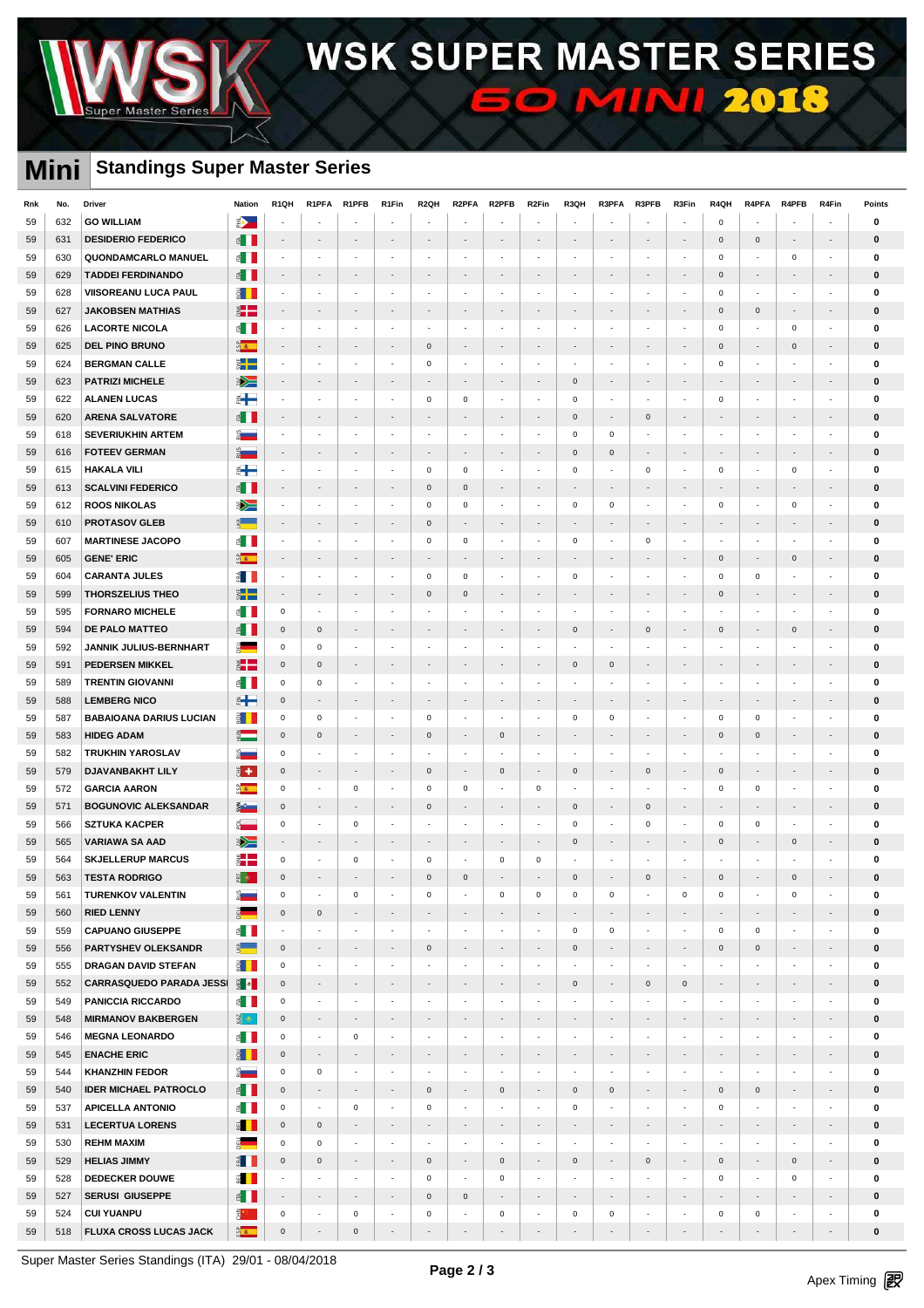# WSK SUPER MASTER SERIES **50 MINI 2018**

### **Mini Standings Super Master Series**

Master

| Rnk      | No.        | <b>Driver</b>                                         | <b>Nation</b>                                                                                                                                                                                                                  | R <sub>1</sub> QH             | R1PFA                                   | R1PFB                                                | R1Fin                         | R <sub>2Q</sub> H                               | R2PFA                                                | R <sub>2</sub> PFB                                   | R <sub>2</sub> Fin                       | R3QH                                    | R3PFA                                                | R3PFB                                   | R3Fin                                                | R4QH                                    | R4PFA                                                | R4PFB                                                | R4Fin                              | Points                   |
|----------|------------|-------------------------------------------------------|--------------------------------------------------------------------------------------------------------------------------------------------------------------------------------------------------------------------------------|-------------------------------|-----------------------------------------|------------------------------------------------------|-------------------------------|-------------------------------------------------|------------------------------------------------------|------------------------------------------------------|------------------------------------------|-----------------------------------------|------------------------------------------------------|-----------------------------------------|------------------------------------------------------|-----------------------------------------|------------------------------------------------------|------------------------------------------------------|------------------------------------|--------------------------|
| 59       | 632        | <b>GO WILLIAM</b>                                     | ⋑                                                                                                                                                                                                                              | $\overline{a}$                |                                         |                                                      | $\overline{\phantom{a}}$      |                                                 |                                                      |                                                      | $\overline{a}$                           | ÷.                                      |                                                      | ÷.                                      | $\overline{\phantom{a}}$                             | $\mathbf 0$                             | $\overline{a}$                                       |                                                      |                                    | $\mathbf 0$              |
| 59       | 631        | <b>DESIDERIO FEDERICO</b>                             | $\epsilon$ .                                                                                                                                                                                                                   | $\overline{\phantom{a}}$      | $\overline{\phantom{a}}$                | $\overline{\phantom{a}}$                             | $\overline{\phantom{a}}$      | $\overline{\phantom{a}}$                        | $\overline{\phantom{a}}$                             | $\overline{\phantom{a}}$                             |                                          | $\overline{\phantom{a}}$                | $\overline{\phantom{a}}$                             | $\overline{\phantom{a}}$                | $\overline{\phantom{a}}$                             | $\mathsf 0$                             | $\mathbf 0$                                          | $\overline{\phantom{a}}$                             | ٠                                  | $\bf{0}$                 |
| 59       | 630        | QUONDAMCARLO MANUEL                                   | E I                                                                                                                                                                                                                            | $\overline{\phantom{a}}$      |                                         |                                                      |                               |                                                 |                                                      |                                                      |                                          |                                         |                                                      |                                         | $\overline{\phantom{a}}$                             | $\mathsf 0$                             | ÷,                                                   | $\mathbf 0$                                          | ÷                                  | $\mathbf 0$              |
| 59       | 629        | <b>TADDEI FERDINANDO</b>                              | $\epsilon$                                                                                                                                                                                                                     | $\sim$                        | $\overline{\phantom{a}}$                | $\overline{\phantom{a}}$                             | $\overline{\phantom{a}}$      | $\sim$                                          | $\overline{\phantom{a}}$                             | $\overline{\phantom{a}}$                             | $\overline{a}$                           | $\overline{\phantom{a}}$                | $\overline{a}$                                       | $\overline{\phantom{a}}$                | $\overline{\phantom{a}}$                             | $\mathsf 0$                             | $\overline{\phantom{a}}$                             |                                                      | ÷,                                 | $\mathbf 0$              |
| 59       | 628        | VIISOREANU LUCA PAUL                                  | ĝП.                                                                                                                                                                                                                            | $\sim$                        | $\overline{\phantom{a}}$                | $\overline{\phantom{a}}$                             | $\overline{\phantom{a}}$      | $\sim$                                          | $\cdot$                                              | $\cdot$                                              | $\cdot$                                  | $\sim$                                  | $\overline{\phantom{a}}$                             | $\sim$                                  | $\sim$                                               | $\mathbf 0$                             | $\sim$                                               | $\cdot$                                              | $\sim$                             | $\bf{0}$                 |
| 59       | 627        | <b>JAKOBSEN MATHIAS</b>                               | ž.                                                                                                                                                                                                                             | $\sim$                        | $\overline{\phantom{a}}$                | $\overline{\phantom{a}}$                             | $\overline{\phantom{a}}$      | $\overline{\phantom{a}}$                        | $\overline{\phantom{a}}$                             | $\overline{\phantom{a}}$                             | ۰                                        | $\overline{\phantom{a}}$                | $\overline{\phantom{a}}$                             | $\blacksquare$                          | $\overline{\phantom{a}}$                             | $\mathsf 0$                             | $\mathbf 0$                                          | $\overline{\phantom{a}}$                             | $\overline{\phantom{a}}$           | $\bf{0}$                 |
| 59       | 626        | <b>LACORTE NICOLA</b>                                 | ≦ II                                                                                                                                                                                                                           | $\overline{\phantom{a}}$      | $\overline{\phantom{a}}$                | $\mathcal{L}_{\mathcal{A}}$                          | $\overline{\phantom{a}}$      | ÷                                               | $\overline{a}$                                       | $\overline{\phantom{a}}$                             | $\sim$                                   | $\mathcal{L}_{\mathcal{A}}$             | $\mathcal{L}_{\mathcal{A}}$                          | $\sim$                                  | $\cdot$                                              | $\mathsf 0$                             | $\overline{\phantom{a}}$                             | $\mathsf 0$                                          | $\overline{\phantom{a}}$           | 0                        |
| 59       | 625        | <b>DEL PINO BRUNO</b>                                 | $\frac{a}{2}$                                                                                                                                                                                                                  | $\overline{\phantom{a}}$      | $\overline{\phantom{a}}$                |                                                      | $\overline{\phantom{a}}$      | $\mathsf 0$                                     | $\overline{\phantom{a}}$                             | $\overline{\phantom{a}}$                             | $\overline{\phantom{a}}$                 | $\overline{\phantom{a}}$                | $\overline{\phantom{a}}$                             | $\overline{a}$                          | $\overline{\phantom{a}}$                             | $\mathbf 0$                             | $\overline{\phantom{a}}$                             | $\mathsf 0$                                          | $\overline{\phantom{a}}$           | $\bf{0}$                 |
| 59       | 624        | <b>BERGMAN CALLE</b>                                  | $\ddot{\tilde{}}$                                                                                                                                                                                                              | $\sim$                        | $\overline{\phantom{a}}$                | $\sim$                                               | ÷,                            | $\mathsf 0$                                     | $\overline{\phantom{a}}$                             | $\overline{\phantom{a}}$                             | $\sim$                                   | $\mathcal{L}_{\mathcal{A}}$             | $\mathcal{L}_{\mathcal{A}}$                          | $\overline{\phantom{a}}$                | $\mathcal{L}_{\mathcal{A}}$                          | $\mathsf 0$                             | $\overline{\phantom{a}}$                             | ÷,                                                   | $\overline{\phantom{a}}$           | $\mathbf 0$              |
| 59       | 623        | <b>PATRIZI MICHELE</b>                                | ▶                                                                                                                                                                                                                              | $\sim$                        | $\overline{\phantom{a}}$                | $\overline{\phantom{a}}$                             | $\overline{a}$                | $\overline{\phantom{a}}$                        | $\overline{\phantom{a}}$                             | $\overline{\phantom{a}}$                             | ÷.                                       | $\mathbf{0}$                            | $\overline{\phantom{a}}$                             | $\overline{\phantom{a}}$                | $\overline{\phantom{a}}$                             | ÷,                                      | $\overline{\phantom{a}}$                             | $\overline{\phantom{a}}$                             | $\overline{\phantom{a}}$           | $\bf{0}$                 |
| 59       | 622        | <b>ALANEN LUCAS</b>                                   | ⋹⊢                                                                                                                                                                                                                             | $\overline{\phantom{a}}$      | $\overline{\phantom{a}}$                | $\overline{\phantom{a}}$                             | ÷                             | $\mathsf 0$                                     | $\mathsf 0$                                          | $\overline{\phantom{a}}$                             | $\overline{\phantom{a}}$                 | 0                                       | $\overline{\phantom{a}}$                             | $\overline{\phantom{a}}$                | $\overline{\phantom{a}}$                             | $\mathbf 0$                             | $\overline{\phantom{a}}$                             | $\overline{\phantom{a}}$                             | $\overline{\phantom{a}}$           | $\mathbf 0$              |
| 59       | 620        | <b>ARENA SALVATORE</b>                                | ≝ II                                                                                                                                                                                                                           | $\sim$                        | $\sim$                                  | $\sim$                                               | $\overline{\phantom{a}}$      | $\sim$                                          | $\overline{\phantom{a}}$                             | $\overline{\phantom{a}}$                             | $\overline{\phantom{a}}$                 | $\mathbf 0$                             | $\overline{\phantom{a}}$                             | $\mathsf 0$                             | $\overline{\phantom{a}}$                             | ٠                                       | $\overline{\phantom{a}}$                             | $\overline{\phantom{a}}$                             | $\sim$                             | $\bf{0}$                 |
| 59       | 618        | <b>SEVERIUKHIN ARTEM</b>                              | å <sub>med</sub>                                                                                                                                                                                                               | $\sim$                        |                                         | $\overline{\phantom{a}}$                             |                               |                                                 |                                                      | $\overline{\phantom{a}}$                             | ٠                                        | 0                                       | $\mathbf 0$                                          |                                         | $\overline{\phantom{a}}$                             |                                         | $\overline{\phantom{a}}$                             |                                                      | ÷                                  | $\mathbf 0$              |
| 59       | 616        | <b>FOTEEV GERMAN</b>                                  | $\frac{1}{2}$                                                                                                                                                                                                                  | $\sim$                        | $\sim$                                  | $\overline{\phantom{a}}$                             | $\overline{\phantom{a}}$      | $\overline{\phantom{a}}$                        | $\overline{\phantom{a}}$                             | $\overline{\phantom{a}}$                             | $\sim$                                   | $\mathbf 0$                             | $\mathbf 0$                                          | $\sim$                                  | $\sim$                                               | $\sim$                                  | $\overline{\phantom{a}}$                             | $\overline{a}$                                       | $\sim$                             | $\bf{0}$                 |
| 59       | 615        | <b>HAKALA VILI</b>                                    | ⋹⊢                                                                                                                                                                                                                             | $\sim$                        | $\overline{\phantom{a}}$                | $\overline{\phantom{a}}$                             | $\overline{\phantom{a}}$      | $\mathsf 0$                                     | $\mathbf 0$                                          | $\overline{\phantom{a}}$                             | $\sim$                                   | $\mathbf 0$                             | $\sim$                                               | $\mathsf 0$                             | $\cdot$                                              | $\mathsf 0$                             | $\overline{\phantom{a}}$                             | $\mathbf 0$                                          | $\sim$                             | $\bf{0}$                 |
| 59       | 613        | <b>SCALVINI FEDERICO</b>                              | E I I                                                                                                                                                                                                                          | $\sim$                        | $\overline{\phantom{a}}$                | $\overline{\phantom{a}}$                             | $\overline{\phantom{a}}$      | $\mathsf 0$                                     | $\mathsf 0$                                          | $\overline{\phantom{a}}$                             | $\sim$                                   | $\sim$                                  | $\sim$                                               | $\sim$                                  | $\sim$                                               | $\sim$                                  | $\overline{\phantom{a}}$                             | $\sim$                                               | $\sim$                             | $\bf{0}$                 |
| 59       | 612        | <b>ROOS NIKOLAS</b>                                   | ▶                                                                                                                                                                                                                              | $\overline{\phantom{a}}$      | $\overline{\phantom{a}}$                | $\overline{\phantom{a}}$                             | $\overline{\phantom{a}}$      | $\mathbf 0$                                     | $\mathsf 0$                                          | $\overline{\phantom{a}}$                             | $\sim$                                   | $\mathbf 0$                             | $\mathbf 0$                                          | $\overline{\phantom{a}}$                | $\cdot$                                              | $\mathsf 0$                             | $\overline{\phantom{a}}$                             | $\mathsf 0$                                          | $\overline{\phantom{a}}$           | 0                        |
| 59       | 610        | <b>PROTASOV GLEB</b>                                  | 9월 - 19일<br>19년                                                                                                                                                                                                                | $\overline{\phantom{a}}$      | $\overline{\phantom{a}}$                | $\overline{\phantom{a}}$                             | $\overline{\phantom{a}}$      | $\mathsf 0$                                     | $\overline{\phantom{a}}$                             | $\overline{\phantom{a}}$                             | $\overline{\phantom{a}}$                 | $\overline{\phantom{a}}$                | $\overline{\phantom{a}}$                             | $\sim$                                  | $\overline{\phantom{a}}$                             | $\overline{\phantom{a}}$                | $\overline{\phantom{a}}$                             | $\overline{\phantom{a}}$                             | $\overline{\phantom{a}}$           | $\bf{0}$                 |
| 59       | 607        | <b>MARTINESE JACOPO</b>                               | E I                                                                                                                                                                                                                            | $\mathcal{L}_{\mathcal{A}}$   | ÷                                       | $\sim$                                               | ÷,                            | $\mathsf 0$                                     | $\mathbf 0$                                          | $\mathcal{L}_{\mathcal{A}}$                          | $\overline{a}$                           | $\mathsf 0$                             | $\mathcal{L}$                                        | $\mathsf 0$                             | $\sim$                                               | ÷                                       | $\overline{\phantom{a}}$                             | $\sim$                                               | $\sim$                             | $\mathbf 0$              |
| 59       | 605        | <b>GENE' ERIC</b>                                     | <b>Disco</b>                                                                                                                                                                                                                   | $\sim$                        | $\sim$                                  | $\overline{\phantom{a}}$                             | $\overline{\phantom{a}}$      | $\overline{\phantom{a}}$                        | $\overline{a}$                                       | $\overline{\phantom{a}}$                             | $\overline{\phantom{a}}$                 | $\overline{\phantom{a}}$                | $\overline{\phantom{a}}$                             | $\blacksquare$                          | $\overline{\phantom{a}}$                             | $\mathbf{0}$                            | $\overline{\phantom{a}}$                             | $\mathbf 0$                                          | $\overline{\phantom{a}}$           | $\mathbf{0}$             |
| 59       | 604        | <b>CARANTA JULES</b>                                  | $\frac{3}{2}$                                                                                                                                                                                                                  | $\overline{\phantom{a}}$      | $\overline{\phantom{a}}$                |                                                      |                               | $\mathsf 0$                                     | $\mathsf 0$                                          | $\overline{\phantom{a}}$                             | ÷                                        | 0                                       | $\overline{\phantom{a}}$                             | ÷                                       | $\overline{\phantom{a}}$                             | $\mathbf 0$                             | $\mathsf 0$                                          |                                                      | ÷                                  | $\mathbf 0$              |
| 59       | 599        | <b>THORSZELIUS THEO</b>                               | $\ddot{\bm{s}}$ $\blacksquare$                                                                                                                                                                                                 | $\sim$                        | $\sim$                                  | $\overline{\phantom{a}}$                             | $\overline{\phantom{a}}$      | $\mathsf{O}\xspace$                             | $\mathsf 0$                                          | $\overline{\phantom{a}}$                             | $\overline{\phantom{a}}$                 | $\overline{\phantom{a}}$                | $\overline{\phantom{a}}$                             | $\blacksquare$                          | $\sim$                                               | $\mathbf{0}$                            | $\overline{\phantom{a}}$                             | $\overline{\phantom{a}}$                             | ٠                                  | $\bf{0}$                 |
| 59       | 595        | <b>FORNARO MICHELE</b>                                | E I                                                                                                                                                                                                                            | $\mathsf 0$                   | $\overline{\phantom{a}}$                | $\overline{\phantom{a}}$                             |                               |                                                 |                                                      | $\overline{\phantom{a}}$                             | $\sim$                                   | ÷                                       | $\overline{\phantom{a}}$                             |                                         | $\overline{\phantom{a}}$                             |                                         | $\overline{\phantom{a}}$                             |                                                      | ÷                                  | $\mathbf 0$              |
| 59       | 594        | DE PALO MATTEO                                        | $\epsilon$ $\blacksquare$                                                                                                                                                                                                      | $\mathsf 0$                   | $\mathbf 0$                             | $\overline{\phantom{a}}$                             | $\overline{a}$                | $\sim$                                          | $\overline{\phantom{a}}$                             |                                                      | $\overline{a}$                           | $\mathbf 0$                             | $\overline{\phantom{a}}$                             | $\mathsf 0$                             | $\sim$                                               | $\mathsf 0$                             | $\overline{\phantom{a}}$                             | $\mathsf 0$                                          | $\overline{\phantom{a}}$           | $\mathbf 0$              |
| 59       | 592        | JANNIK JULIUS-BERNHART                                | a and a series of the series of the series of the series of the series of the series of the series of the series of the series of the series of the series of the series of the series of the series of the series of the seri | $\mathsf 0$                   | $\mathbf 0$                             | $\overline{\phantom{a}}$                             | $\sim$                        | $\overline{\phantom{a}}$                        | $\overline{\phantom{a}}$                             | $\cdot$                                              | $\cdot$                                  | ÷                                       | $\mathcal{L}_{\mathcal{A}}$                          | $\sim$                                  | $\mathcal{L}_{\mathcal{A}}$                          | $\sim$                                  | $\overline{\phantom{a}}$                             | $\sim$                                               | $\sim$                             | $\bf{0}$                 |
|          | 591        | <b>PEDERSEN MIKKEL</b>                                | <b>a</b> 2                                                                                                                                                                                                                     | $\mathsf 0$                   | $\mathsf{O}\xspace$                     | $\blacksquare$                                       | $\overline{a}$                | $\overline{\phantom{a}}$                        | $\overline{\phantom{a}}$                             |                                                      | $\overline{\phantom{a}}$                 | $\mathsf{O}\xspace$                     | $\mathbf 0$                                          | $\blacksquare$                          | $\overline{\phantom{a}}$                             | $\overline{a}$                          | $\overline{a}$                                       |                                                      | $\overline{\phantom{a}}$           | $\bf{0}$                 |
| 59<br>59 | 589        | <b>TRENTIN GIOVANNI</b>                               | ≦ II                                                                                                                                                                                                                           | $\mathsf 0$                   | $\mathsf 0$                             | $\overline{\phantom{a}}$                             | $\overline{\phantom{a}}$      | $\overline{\phantom{a}}$                        | $\overline{\phantom{a}}$                             | $\overline{\phantom{a}}$                             | $\sim$                                   | $\sim$                                  | $\overline{\phantom{a}}$                             | $\sim$                                  | $\overline{\phantom{a}}$                             | $\sim$                                  | $\overline{\phantom{a}}$                             | $\sim$                                               | $\overline{\phantom{a}}$           | 0                        |
| 59       | 588        | <b>LEMBERG NICO</b>                                   | $\frac{1}{2}$                                                                                                                                                                                                                  | $\mathsf{O}\xspace$           | $\overline{\phantom{a}}$                | $\overline{\phantom{a}}$                             | $\overline{\phantom{a}}$      | $\overline{\phantom{a}}$                        | $\overline{\phantom{a}}$                             | $\overline{\phantom{a}}$                             | $\overline{\phantom{a}}$                 | $\overline{\phantom{a}}$                | $\overline{\phantom{a}}$                             | $\overline{\phantom{a}}$                | $\overline{\phantom{a}}$                             | $\overline{\phantom{a}}$                | $\overline{\phantom{a}}$                             | $\overline{\phantom{a}}$                             | $\overline{\phantom{a}}$           | $\bf{0}$                 |
|          |            |                                                       |                                                                                                                                                                                                                                | $\mathsf 0$                   |                                         | $\overline{\phantom{a}}$                             | ÷                             | $\mathsf 0$                                     | ÷,                                                   | $\overline{\phantom{a}}$                             | $\overline{\phantom{a}}$                 | $\mathbf 0$                             | $\mathsf 0$                                          | $\overline{\phantom{a}}$                | $\overline{\phantom{a}}$                             | $\mathsf 0$                             | $\mathsf 0$                                          | $\sim$                                               | $\overline{\phantom{a}}$           | $\mathbf 0$              |
| 59       | 587        | <b>BABAIOANA DARIUS LUCIAN</b><br><b>HIDEG ADAM</b>   | § ∏<br>$rac{2}{2}$                                                                                                                                                                                                             | $\mathsf 0$                   | $\mathsf 0$<br>$\mathbf{0}$             | $\overline{\phantom{a}}$                             | $\overline{a}$                |                                                 |                                                      |                                                      | ÷.                                       | $\overline{\phantom{a}}$                | $\overline{\phantom{a}}$                             |                                         | $\overline{\phantom{a}}$                             | $\mathbf{0}$                            |                                                      |                                                      |                                    |                          |
| 59       | 583        |                                                       |                                                                                                                                                                                                                                |                               |                                         |                                                      |                               | $\mathsf 0$                                     | $\overline{\phantom{a}}$                             | $\mathsf 0$                                          |                                          |                                         |                                                      | $\overline{\phantom{a}}$                |                                                      |                                         | $\mathbf 0$                                          | $\overline{\phantom{a}}$                             | $\overline{\phantom{a}}$           | $\bf{0}$                 |
| 59       | 582        | <b>TRUKHIN YAROSLAV</b>                               | å <sub>m</sub>                                                                                                                                                                                                                 | $\mathbf 0$                   | $\overline{\phantom{a}}$                | $\overline{\phantom{a}}$                             | ÷,                            |                                                 | $\overline{a}$                                       | $\overline{\phantom{a}}$                             | $\overline{\phantom{a}}$                 | ÷                                       | $\overline{\phantom{a}}$                             | $\overline{\phantom{a}}$                | $\overline{\phantom{a}}$                             | $\overline{\phantom{a}}$                | $\overline{\phantom{a}}$                             |                                                      | ÷                                  | 0                        |
| 59       | 579        | <b>DJAVANBAKHT LILY</b>                               | ₿ +                                                                                                                                                                                                                            | $\mathsf 0$                   | $\sim$                                  | $\overline{\phantom{a}}$                             | $\overline{\phantom{a}}$      | $\mathsf{O}\xspace$                             | $\overline{\phantom{a}}$                             | $\mathsf 0$                                          | $\overline{\phantom{a}}$                 | $\mathbf 0$                             | $\overline{\phantom{a}}$                             | $\mathsf 0$                             | $\sim$                                               | $\mathbf{0}$                            | $\overline{\phantom{a}}$                             | $\overline{\phantom{a}}$                             | $\sim$                             | 0                        |
| 59       | 572        | <b>GARCIA AARON</b><br><b>BOGUNOVIC ALEKSANDAR</b>    | <b>DE</b>                                                                                                                                                                                                                      | $\mathsf 0$                   | $\overline{\phantom{a}}$                | 0<br>$\sim$                                          | $\sim$                        | $\mathsf 0$                                     | $\mathsf 0$<br>$\sim$                                | $\overline{\phantom{a}}$<br>$\sim$                   | $\mathsf 0$<br>$\sim$                    |                                         | $\overline{\phantom{a}}$<br>$\sim$                   |                                         | $\sim$<br>$\sim$                                     | $\mathsf 0$<br>$\sim$                   | $\mathbf 0$<br>$\sim$                                | $\sim$                                               | ÷<br>$\mathcal{L}_{\mathcal{A}}$   | $\mathbf 0$              |
| 59       | 571        | <b>SZTUKA KACPER</b>                                  | š.                                                                                                                                                                                                                             | $\mathsf 0$<br>$\mathsf 0$    | $\sim$<br>$\overline{\phantom{a}}$      |                                                      | ÷,                            | $\mathsf 0$<br>$\sim$                           | ÷,                                                   | $\overline{\phantom{a}}$                             | ٠                                        | $\mathbf 0$<br>$\mathbf 0$              | $\overline{\phantom{a}}$                             | $\mathbf 0$<br>$\mathbf 0$              | $\overline{\phantom{a}}$                             |                                         | $\mathbf 0$                                          | $\overline{\phantom{a}}$                             | $\overline{\phantom{a}}$           | $\bf{0}$                 |
| 59       | 566        |                                                       | $\frac{1}{2}$                                                                                                                                                                                                                  |                               |                                         | $\mathbf 0$                                          |                               |                                                 |                                                      |                                                      |                                          |                                         |                                                      |                                         |                                                      | $\mathsf 0$                             |                                                      |                                                      |                                    | $\bf{0}$                 |
| 59       | 565        | <b>VARIAWA SA AAD</b><br><b>SKJELLERUP MARCUS</b>     | ▶<br>ž.                                                                                                                                                                                                                        | $\sim$                        | $\sim$<br>$\sim$                        | $\overline{\phantom{a}}$                             | $\overline{\phantom{a}}$<br>÷ | $\overline{\phantom{a}}$                        | $\overline{\phantom{a}}$<br>$\overline{\phantom{a}}$ | $\overline{\phantom{a}}$<br>$\mathbf 0$              | $\overline{\phantom{a}}$<br>$\mathsf 0$  | $\mathsf{O}\xspace$<br>÷,               | $\sim$<br>$\overline{a}$                             | $\sim$<br>÷,                            | $\overline{\phantom{a}}$<br>$\sim$                   | $\mathsf 0$<br>÷,                       | $\overline{\phantom{a}}$<br>$\overline{\phantom{a}}$ | $\mathsf 0$                                          | $\overline{\phantom{a}}$<br>٠      | $\bf{0}$                 |
| 59       | 564        | <b>TESTA RODRIGO</b>                                  | E o                                                                                                                                                                                                                            | $\,0\,$<br>$\mathbf 0$        |                                         | $\mathsf 0$                                          |                               | $\mathbf 0$<br>$\mathbf 0$                      | $\mathbf 0$                                          |                                                      |                                          | $\mathsf{O}\xspace$                     |                                                      | $\mathbf 0$                             |                                                      | $\mathbf 0$                             |                                                      | $\Omega$                                             |                                    | 0<br>$\bf{0}$            |
| 59       | 563        |                                                       |                                                                                                                                                                                                                                |                               |                                         |                                                      |                               |                                                 |                                                      |                                                      |                                          |                                         |                                                      |                                         |                                                      |                                         |                                                      |                                                      |                                    |                          |
| 59       | 561        | <b>TURENKOV VALENTIN</b>                              | å <sub>a</sub>                                                                                                                                                                                                                 | 0<br>$\mathsf 0$              | $\overline{\phantom{a}}$<br>$\mathsf 0$ | $\mathbf 0$<br>$\blacksquare$                        | ٠<br>$\overline{\phantom{a}}$ | $\mathbf 0$<br>$\sim$                           | $\overline{\phantom{a}}$                             | $\mathbf 0$<br>$\overline{\phantom{a}}$              | $\mathsf{O}$<br>$\overline{\phantom{a}}$ | 0<br>$\sim$                             | $\pmb{0}$<br>$\overline{\phantom{a}}$                | $\sim$                                  | $\mathsf{O}$<br>$\sim$                               | $\mathbf 0$<br>$\overline{\phantom{a}}$ | $\overline{\phantom{a}}$<br>$\overline{\phantom{a}}$ | $\mathsf 0$<br>$\overline{\phantom{a}}$              | ÷<br>$\overline{\phantom{a}}$      | $\bf{0}$<br>$\mathbf{0}$ |
| 59       | 560        | <b>RIED LENNY</b>                                     | $\frac{1}{2}$<br>$\epsilon$                                                                                                                                                                                                    |                               |                                         |                                                      |                               |                                                 |                                                      |                                                      |                                          |                                         |                                                      |                                         |                                                      |                                         |                                                      |                                                      |                                    |                          |
| 59<br>59 | 559<br>556 | <b>CAPUANO GIUSEPPE</b><br><b>PARTYSHEV OLEKSANDR</b> | $\frac{d}{dx}$                                                                                                                                                                                                                 | $\sim$<br>$\mathsf{O}\xspace$ | $\overline{\phantom{a}}$<br>$\sim$      | $\overline{\phantom{a}}$<br>$\overline{\phantom{a}}$ | ٠<br>$\overline{\phantom{a}}$ | $\overline{\phantom{a}}$<br>$\mathsf{O}\xspace$ | $\overline{\phantom{a}}$<br>$\overline{\phantom{a}}$ | $\overline{\phantom{a}}$<br>$\overline{\phantom{a}}$ | $\overline{\phantom{a}}$<br>$\sim$       | 0<br>$\mathbf 0$                        | $\mathbf 0$<br>$\sim$                                | $\overline{\phantom{a}}$<br>$\sim$      | $\overline{\phantom{a}}$<br>$\overline{\phantom{a}}$ | $\mathbf 0$<br>$\mathsf 0$              | $\mathbf 0$<br>$\mathbf 0$                           | $\overline{\phantom{a}}$<br>$\overline{\phantom{a}}$ | $\sim$<br>$\overline{\phantom{a}}$ | $\bf{0}$<br>$\bf{0}$     |
| 59       | 555        | DRAGAN DAVID STEFAN                                   | $\frac{3}{2}$                                                                                                                                                                                                                  | $\mathsf 0$                   | $\overline{\phantom{a}}$                | $\overline{\phantom{a}}$                             | $\overline{\phantom{a}}$      | $\overline{\phantom{a}}$                        | $\overline{a}$                                       | $\overline{\phantom{a}}$                             | $\sim$                                   | $\overline{\phantom{a}}$                | $\overline{\phantom{a}}$                             | $\overline{\phantom{a}}$                | $\overline{\phantom{a}}$                             | ÷                                       | $\overline{\phantom{a}}$                             | ÷                                                    | $\overline{\phantom{a}}$           | $\bf{0}$                 |
|          |            | <b>CARRASQUEDO PARADA JESSI</b>                       | $\frac{3}{2}$ $\bullet$                                                                                                                                                                                                        |                               |                                         | $\overline{\phantom{a}}$                             | $\overline{\phantom{a}}$      | $\overline{\phantom{a}}$                        | $\overline{\phantom{a}}$                             | $\overline{\phantom{a}}$                             | $\overline{\phantom{a}}$                 |                                         |                                                      |                                         |                                                      | $\overline{\phantom{a}}$                | $\overline{\phantom{a}}$                             | $\overline{\phantom{a}}$                             | $\overline{\phantom{a}}$           |                          |
| 59       | 552        |                                                       |                                                                                                                                                                                                                                | $\mathsf{O}\xspace$           | $\overline{\phantom{a}}$                |                                                      | $\overline{\phantom{a}}$      |                                                 | $\overline{\phantom{a}}$                             |                                                      | $\overline{\phantom{a}}$                 | $\mathbf 0$<br>$\overline{\phantom{a}}$ | $\overline{\phantom{a}}$<br>$\overline{\phantom{a}}$ | $\mathbf 0$<br>$\overline{\phantom{a}}$ | $\mathbf 0$<br>$\overline{\phantom{a}}$              | $\overline{\phantom{a}}$                |                                                      | $\overline{\phantom{a}}$                             |                                    | $\mathbf 0$              |
| 59       | 549        | <b>PANICCIA RICCARDO</b>                              | $\epsilon$                                                                                                                                                                                                                     | $\mathbf 0$                   | $\sim$                                  | $\overline{\phantom{a}}$                             |                               | $\overline{\phantom{a}}$                        |                                                      | $\overline{\phantom{a}}$                             |                                          |                                         |                                                      |                                         |                                                      |                                         | $\overline{\phantom{a}}$                             |                                                      | $\sim$                             | 0                        |
| 59       | 548        | <b>MIRMANOV BAKBERGEN</b>                             | $\frac{3}{2}$                                                                                                                                                                                                                  | $\mathbf{0}$                  | $\sim$                                  | $\overline{\phantom{a}}$                             | $\overline{\phantom{a}}$      | $\sim$                                          | $\overline{\phantom{a}}$                             | $\overline{\phantom{a}}$                             | $\overline{\phantom{a}}$                 | $\overline{\phantom{a}}$                | $\overline{\phantom{a}}$                             | $\sim$                                  | $\sim$                                               | $\overline{\phantom{a}}$                | $\overline{\phantom{a}}$                             | $\overline{\phantom{a}}$                             | $\overline{\phantom{a}}$           | $\mathbf 0$              |
| 59       | 546        | <b>MEGNA LEONARDO</b>                                 | $\epsilon$ $\blacksquare$                                                                                                                                                                                                      | $\mathsf 0$                   | $\overline{\phantom{a}}$                | $\mathbf 0$                                          | $\overline{\phantom{a}}$      | $\overline{\phantom{a}}$                        | $\overline{\phantom{a}}$                             | $\overline{\phantom{a}}$                             | $\overline{\phantom{a}}$                 | $\overline{\phantom{a}}$                | $\overline{\phantom{a}}$                             | $\overline{\phantom{a}}$                | $\cdot$                                              | $\overline{\phantom{a}}$                | $\overline{\phantom{a}}$                             | $\sim$                                               | $\sim$                             | $\bf{0}$                 |
| 59       | 545        | <b>ENACHE ERIC</b>                                    | $\frac{1}{2}$                                                                                                                                                                                                                  | $\mathsf{O}\xspace$           | $\sim$                                  | $\overline{\phantom{a}}$                             | $\overline{\phantom{a}}$      | $\overline{\phantom{a}}$                        | $\overline{\phantom{a}}$                             | $\sim$                                               | $\sim$                                   | $\overline{\phantom{a}}$                | $\sim$                                               | $\sim$                                  | $\sim$                                               | $\overline{\phantom{a}}$                | $\overline{\phantom{a}}$                             | $\overline{\phantom{a}}$                             | $\sim$                             | $\pmb{0}$                |
| 59       | 544        | <b>KHANZHIN FEDOR</b>                                 | $\frac{3}{2}$                                                                                                                                                                                                                  | $\mathsf 0$                   | $\mathsf 0$                             | $\overline{\phantom{a}}$                             | $\sim$                        | $\overline{\phantom{a}}$                        | $\overline{\phantom{a}}$                             | $\overline{\phantom{a}}$                             | $\overline{\phantom{a}}$                 | $\mathcal{L}_{\mathcal{A}}$             | $\overline{\phantom{a}}$                             | $\overline{\phantom{a}}$                | $\overline{\phantom{a}}$                             | $\sim$                                  | $\overline{\phantom{a}}$                             | $\sim$                                               | $\overline{\phantom{a}}$           | $\bf{0}$                 |
| 59       | 540        | <b>IDER MICHAEL PATROCLO</b>                          | $\epsilon$ $\blacksquare$                                                                                                                                                                                                      | $\mathbf{0}$                  | $\overline{\phantom{a}}$                | $\overline{\phantom{a}}$                             | $\overline{\phantom{a}}$      | $\mathsf{O}\xspace$                             | $\overline{\phantom{a}}$                             | $\mathsf 0$                                          | $\overline{\phantom{a}}$                 | $\mathbf 0$                             | $\mathbf 0$                                          | $\blacksquare$                          | $\overline{\phantom{a}}$                             | $\mathbf 0$                             | $\mathbf 0$                                          | $\overline{\phantom{a}}$                             | $\overline{\phantom{a}}$           | $\bf{0}$                 |
| 59       | 537        | <b>APICELLA ANTONIO</b>                               | $\epsilon$ $\blacksquare$                                                                                                                                                                                                      | $\circ$                       | $\overline{\phantom{a}}$                | $\mathsf 0$                                          | $\overline{a}$                | $\mathsf 0$                                     | $\overline{a}$                                       | $\overline{\phantom{a}}$                             | $\overline{\phantom{a}}$                 | 0                                       | $\overline{\phantom{a}}$                             | $\overline{\phantom{a}}$                | $\overline{\phantom{a}}$                             | $\mathsf 0$                             | $\overline{\phantom{a}}$                             | ÷                                                    | $\overline{\phantom{a}}$           | $\bf{0}$                 |
| 59       | 531        | <b>LECERTUA LORENS</b>                                | $\overline{a}$                                                                                                                                                                                                                 | $\mathsf{O}\xspace$           | $\mathbf 0$                             | $\overline{\phantom{a}}$                             | $\overline{\phantom{a}}$      | $\overline{\phantom{a}}$                        | $\overline{\phantom{a}}$                             | $\overline{\phantom{a}}$                             | $\overline{\phantom{a}}$                 | $\overline{\phantom{a}}$                | $\overline{\phantom{a}}$                             | $\overline{\phantom{a}}$                | $\overline{\phantom{a}}$                             | $\overline{\phantom{a}}$                | $\overline{\phantom{a}}$                             | $\overline{\phantom{a}}$                             | $\overline{\phantom{a}}$           | $\bf{0}$                 |
| 59       | 530        | <b>REHM MAXIM</b>                                     | R <sub>a</sub>                                                                                                                                                                                                                 | $\mathsf 0$                   | $\mathsf 0$                             | $\overline{\phantom{a}}$                             | $\overline{\phantom{a}}$      | $\sim$                                          | $\overline{\phantom{a}}$                             | $\overline{\phantom{a}}$                             | $\blacksquare$                           | $\overline{\phantom{a}}$                | $\overline{\phantom{a}}$                             | $\overline{\phantom{a}}$                | $\overline{\phantom{a}}$                             | $\sim$                                  | $\overline{\phantom{a}}$                             | $\overline{\phantom{a}}$                             | $\sim$                             | $\bf{0}$                 |
| 59       | 529        | <b>HELIAS JIMMY</b>                                   | $\frac{3}{2}$                                                                                                                                                                                                                  | $\mathsf 0$                   | $\mathbf 0$                             | $\overline{\phantom{a}}$                             | $\overline{\phantom{a}}$      | $\mathsf{O}\xspace$                             | $\overline{a}$                                       | $\mathbf 0$                                          | $\overline{\phantom{a}}$                 | 0                                       | $\overline{\phantom{a}}$                             | $\mathbf 0$                             | $\overline{\phantom{a}}$                             | $\mathbf{0}$                            | $\overline{\phantom{a}}$                             | $\mathbf 0$                                          | $\overline{\phantom{a}}$           | $\mathbf 0$              |
| 59       | 528        | <b>DEDECKER DOUWE</b>                                 | E I                                                                                                                                                                                                                            | $\mathcal{L}_{\mathcal{A}}$   | $\sim$                                  | $\sim$                                               | $\overline{\phantom{a}}$      | $\mathsf 0$                                     | $\sim$                                               | $\mathbf 0$                                          | $\sim$                                   | $\sim$                                  | $\sim$                                               | $\sim$                                  | $\sim$                                               | $\mathbf 0$                             | $\blacksquare$                                       | $\mathbf 0$                                          | $\sim$                             | 0                        |
| 59       | 527        | <b>SERUSI GIUSEPPE</b>                                | $\leq$                                                                                                                                                                                                                         | $\sim$                        | $\overline{\phantom{a}}$                | $\overline{\phantom{a}}$                             | $\overline{\phantom{a}}$      | $\mathsf{O}\xspace$                             | $\mathbf 0$                                          | $\overline{\phantom{a}}$                             | $\overline{\phantom{a}}$                 | $\overline{\phantom{a}}$                | $\overline{\phantom{a}}$                             | $\overline{\phantom{a}}$                | $\overline{\phantom{a}}$                             | $\overline{\phantom{a}}$                | $\overline{\phantom{a}}$                             | $\overline{\phantom{a}}$                             | $\overline{\phantom{a}}$           | $\bf{0}$                 |
| 59       | 524        | <b>CUI YUANPU</b>                                     | $\frac{2}{3}$ *).                                                                                                                                                                                                              | $\mathsf{O}\xspace$           | $\overline{\phantom{a}}$                | $\mathbf 0$                                          | $\overline{\phantom{a}}$      | $\mathbf 0$                                     | $\overline{\phantom{a}}$                             | $\mathbf 0$                                          | $\cdot$                                  | $\mathsf 0$                             | $\mathbf 0$                                          | $\overline{\phantom{a}}$                | $\cdot$                                              | $\mathsf 0$                             | $\mathbf 0$                                          | $\overline{\phantom{a}}$                             | $\sim$                             | $\bf{0}$                 |
| 59       | 518        | <b>FLUXA CROSS LUCAS JACK</b>                         | $\frac{a}{2}$                                                                                                                                                                                                                  | $\mathsf{O}\xspace$           | $\sim$                                  | $\mathsf{O}\xspace$                                  | $\sim$                        | $\overline{\phantom{a}}$                        | $\blacksquare$                                       | $\sim$                                               | $\sim$                                   | $\mathcal{L}_{\mathcal{A}}$             | $\sim$                                               | $\overline{\phantom{a}}$                | $\overline{\phantom{a}}$                             | $\sim$                                  | $\overline{\phantom{a}}$                             | $\blacksquare$                                       | $\sim$                             | 0                        |